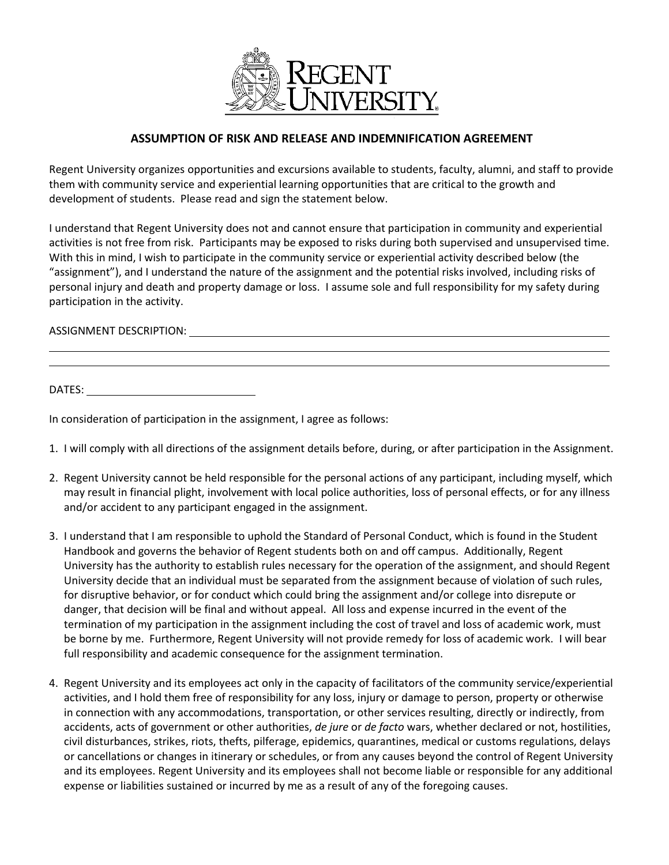

## **ASSUMPTION OF RISK AND RELEASE AND INDEMNIFICATION AGREEMENT**

Regent University organizes opportunities and excursions available to students, faculty, alumni, and staff to provide them with community service and experiential learning opportunities that are critical to the growth and development of students. Please read and sign the statement below.

I understand that Regent University does not and cannot ensure that participation in community and experiential activities is not free from risk. Participants may be exposed to risks during both supervised and unsupervised time. With this in mind, I wish to participate in the community service or experiential activity described below (the "assignment"), and I understand the nature of the assignment and the potential risks involved, including risks of personal injury and death and property damage or loss. I assume sole and full responsibility for my safety during participation in the activity.

## ASSIGNMENT DESCRIPTION:

DATES:

In consideration of participation in the assignment, I agree as follows:

- 1. I will comply with all directions of the assignment details before, during, or after participation in the Assignment.
- 2. Regent University cannot be held responsible for the personal actions of any participant, including myself, which may result in financial plight, involvement with local police authorities, loss of personal effects, or for any illness and/or accident to any participant engaged in the assignment.
- 3. I understand that I am responsible to uphold the Standard of Personal Conduct, which is found in the Student Handbook and governs the behavior of Regent students both on and off campus. Additionally, Regent University has the authority to establish rules necessary for the operation of the assignment, and should Regent University decide that an individual must be separated from the assignment because of violation of such rules, for disruptive behavior, or for conduct which could bring the assignment and/or college into disrepute or danger, that decision will be final and without appeal. All loss and expense incurred in the event of the termination of my participation in the assignment including the cost of travel and loss of academic work, must be borne by me. Furthermore, Regent University will not provide remedy for loss of academic work. I will bear full responsibility and academic consequence for the assignment termination.
- 4. Regent University and its employees act only in the capacity of facilitators of the community service/experiential activities, and I hold them free of responsibility for any loss, injury or damage to person, property or otherwise in connection with any accommodations, transportation, or other services resulting, directly or indirectly, from accidents, acts of government or other authorities, *de jure* or *de facto* wars, whether declared or not, hostilities, civil disturbances, strikes, riots, thefts, pilferage, epidemics, quarantines, medical or customs regulations, delays or cancellations or changes in itinerary or schedules, or from any causes beyond the control of Regent University and its employees. Regent University and its employees shall not become liable or responsible for any additional expense or liabilities sustained or incurred by me as a result of any of the foregoing causes.